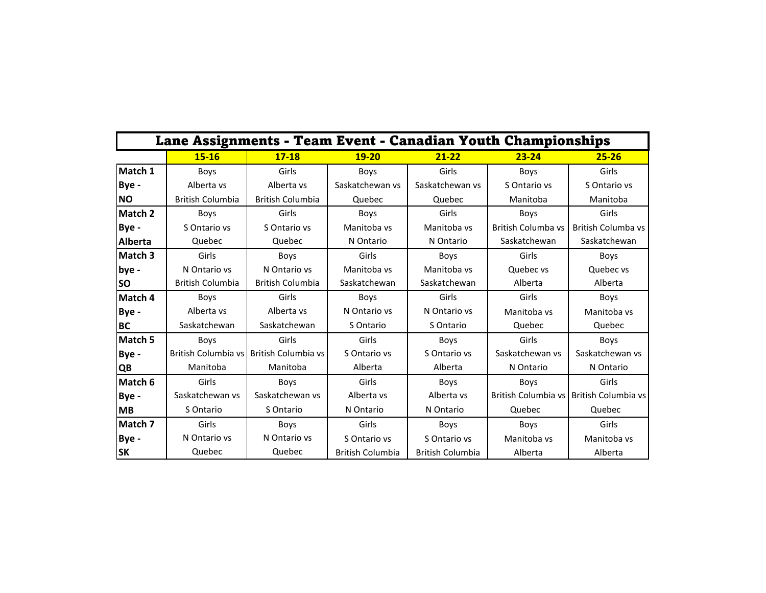| Lane Assignments - Team Event - Canadian Youth Championships |                            |                         |                         |                         |                           |                                         |  |  |
|--------------------------------------------------------------|----------------------------|-------------------------|-------------------------|-------------------------|---------------------------|-----------------------------------------|--|--|
|                                                              | $15 - 16$                  | $17 - 18$               | $19 - 20$               | $21 - 22$               | $23 - 24$                 | $25 - 26$                               |  |  |
| Match 1                                                      | <b>Boys</b>                | Girls                   | Boys                    | Girls                   | <b>Boys</b>               | Girls                                   |  |  |
| Bye -                                                        | Alberta vs                 | Alberta vs              | Saskatchewan vs         | Saskatchewan vs         | S Ontario vs              | S Ontario vs                            |  |  |
| <b>NO</b>                                                    | <b>British Columbia</b>    | <b>British Columbia</b> | Quebec                  | Quebec                  | Manitoba                  | Manitoba                                |  |  |
| Match 2                                                      | Boys                       | Girls                   | <b>Boys</b>             | Girls                   | <b>Boys</b>               | Girls                                   |  |  |
| Bye -                                                        | S Ontario vs               | S Ontario vs            | Manitoba ys             | Manitoba ys             | <b>British Columba vs</b> | <b>British Columba vs</b>               |  |  |
| Alberta                                                      | Quebec                     | Quebec                  | N Ontario               | N Ontario               | Saskatchewan              | Saskatchewan                            |  |  |
| Match 3                                                      | Girls                      | <b>Boys</b>             | Girls                   | Boys                    | Girls                     | Boys                                    |  |  |
| bye -                                                        | N Ontario vs               | N Ontario vs            | Manitoba vs             | Manitoba vs             | Quebec vs                 | Quebec vs                               |  |  |
| <b>SO</b>                                                    | British Columbia           | <b>British Columbia</b> | Saskatchewan            | Saskatchewan            | Alberta                   | Alberta                                 |  |  |
| Match 4                                                      | Boys                       | Girls                   | <b>Boys</b>             | Girls                   | Girls                     | <b>Boys</b>                             |  |  |
| Bye -                                                        | Alberta vs                 | Alberta vs              | N Ontario vs            | N Ontario vs            | Manitoba vs               | Manitoba ys                             |  |  |
| BC                                                           | Saskatchewan               | Saskatchewan            | S Ontario               | S Ontario               | Quebec                    | Quebec                                  |  |  |
| Match 5                                                      | <b>Boys</b>                | Girls                   | Girls                   | Boys                    | Girls                     | Boys                                    |  |  |
| Bye -                                                        | <b>British Columbia vs</b> | British Columbia vs     | S Ontario vs            | S Ontario vs            | Saskatchewan vs           | Saskatchewan vs                         |  |  |
| QB                                                           | Manitoba                   | Manitoba                | Alberta                 | Alberta                 | N Ontario                 | N Ontario                               |  |  |
| Match 6                                                      | Girls                      | <b>Boys</b>             | Girls                   | <b>Boys</b>             | <b>Boys</b>               | Girls                                   |  |  |
| Bye -                                                        | Saskatchewan vs            | Saskatchewan vs         | Alberta vs              | Alberta vs              |                           | British Columbia vs British Columbia vs |  |  |
| <b>MB</b>                                                    | S Ontario                  | S Ontario               | N Ontario               | N Ontario               | Quebec                    | Quebec                                  |  |  |
| Match 7                                                      | Girls                      | Boys                    | Girls                   | <b>Boys</b>             | Boys                      | Girls                                   |  |  |
| Bye -                                                        | N Ontario vs               | N Ontario vs            | S Ontario vs            | S Ontario vs            | Manitoba ys               | Manitoba vs                             |  |  |
| <b>SK</b>                                                    | Quebec                     | Quebec                  | <b>British Columbia</b> | <b>British Columbia</b> | Alberta                   | Alberta                                 |  |  |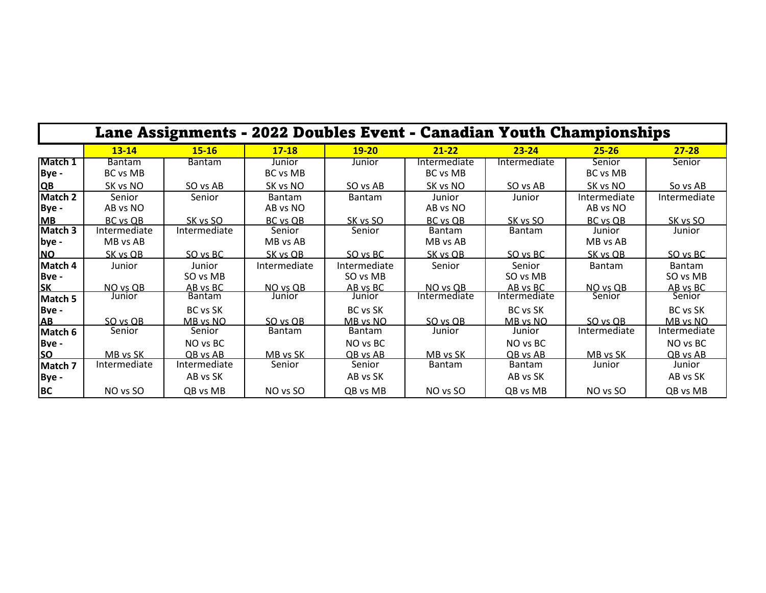|                          | Lane Assignments - 2022 Doubles Event - Canadian Youth Championships |                             |                    |                          |                          |                          |                           |                           |  |  |
|--------------------------|----------------------------------------------------------------------|-----------------------------|--------------------|--------------------------|--------------------------|--------------------------|---------------------------|---------------------------|--|--|
|                          | $13 - 14$                                                            | $15 - 16$                   | $17 - 18$          | $19 - 20$                | $21 - 22$                | $23 - 24$                | $25 - 26$                 | $27 - 28$                 |  |  |
| Match 1<br>Bye -         | <b>Bantam</b><br>BC vs MB                                            | <b>Bantam</b>               | Junior<br>BC vs MB | Junior                   | Intermediate<br>BC vs MB | Intermediate             | Senior<br><b>BC</b> vs MB | Senior                    |  |  |
| <b>QB</b>                | SK vs NO                                                             | SO vs AB                    | SK vs NO           | SO vs AB                 | SK vs NO                 | SO vs AB                 | SK vs NO                  | So vs AB                  |  |  |
| Match 2<br>Bye -         | Senior<br>AB vs NO                                                   | Senior                      | Bantam<br>AB vs NO | <b>Bantam</b>            | Junior<br>AB vs NO       | Junior                   | Intermediate<br>AB vs NO  | Intermediate              |  |  |
| <b>MB</b>                | BC vs OB                                                             | SK vs SO                    | BC vs OB           | SK vs SO                 | <b>BC</b> vs OB          | SK vs SO                 | <b>BC</b> vs QB           | SK vs SO                  |  |  |
| Match 3<br>bye -         | Intermediate<br>MB vs AB                                             | Intermediate                | Senior<br>MB vs AB | Senior                   | Bantam<br>MB vs AB       | Bantam                   | Junior<br>MB vs AB        | Junior                    |  |  |
| <b>NO</b>                | SK vs QB                                                             | SO vs BC                    | SK vs OB           | SO vs BC                 | SK vs QB                 | SO vs BC                 | <u>SK vs OB</u>           | SO vs BC                  |  |  |
| Match 4<br>Bve -         | Junior                                                               | Junior<br>SO vs MB          | Intermediate       | Intermediate<br>SO vs MB | Senior                   | Senior<br>SO vs MB       | <b>Bantam</b>             | <b>Bantam</b><br>SO vs MB |  |  |
| <b>SK</b>                | NO vs QB<br>Junior                                                   | AB vs BC<br><b>Bantam</b>   | NO vs QB<br>Junior | AB vs BC<br>Junior       | NO vs QB<br>Intermediate | AB vs BC<br>Intermediate | NO vs QB<br>Senior        | AB vs BC<br>Senior        |  |  |
| Match 5<br>Bve -<br>AB   | SO vs QB                                                             | BC vs SK<br><u>MB vs NO</u> | SO vs QB           | BC vs SK<br>MB vs NO     | SO vs QB                 | BC vs SK<br>MB vs NO     | SO vs QB                  | BC vs SK<br>MB vs NO      |  |  |
| Match 6                  | Senior                                                               | Senior                      | <b>Bantam</b>      | <b>Bantam</b>            | Junior                   | Junior                   | Intermediate              | Intermediate              |  |  |
| <b>Bve-</b><br><b>SO</b> | MB vs SK                                                             | NO vs BC<br>QB vs AB        | MB vs SK           | NO vs BC<br>QB vs AB     | MB vs SK                 | NO vs BC<br>QB vs AB     | MB vs SK                  | NO vs BC<br>QB vs AB      |  |  |
| Match 7                  | Intermediate                                                         | Intermediate                | Senior             | Senior                   | <b>Bantam</b>            | <b>Bantam</b>            | Junior                    | Junior                    |  |  |
| Bye -                    |                                                                      | AB vs SK                    |                    | AB vs SK                 |                          | AB vs SK                 |                           | AB vs SK                  |  |  |
| BC                       | NO vs SO                                                             | QB vs MB                    | NO vs SO           | QB vs MB                 | NO vs SO                 | QB vs MB                 | NO vs SO                  | QB vs MB                  |  |  |